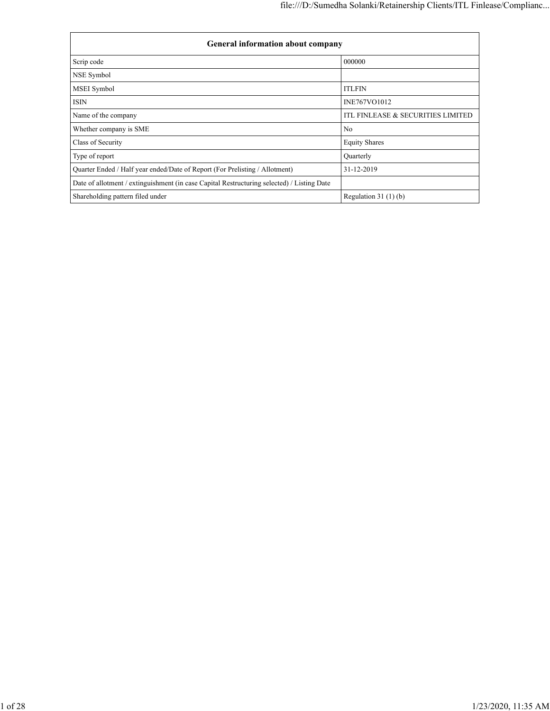| General information about company                                                          |                                   |  |  |  |  |  |  |  |  |
|--------------------------------------------------------------------------------------------|-----------------------------------|--|--|--|--|--|--|--|--|
| Scrip code                                                                                 | 000000                            |  |  |  |  |  |  |  |  |
| NSE Symbol                                                                                 |                                   |  |  |  |  |  |  |  |  |
| MSEI Symbol                                                                                | <b>ITLFIN</b>                     |  |  |  |  |  |  |  |  |
| <b>ISIN</b>                                                                                | INE767VO1012                      |  |  |  |  |  |  |  |  |
| Name of the company                                                                        | ITL FINLEASE & SECURITIES LIMITED |  |  |  |  |  |  |  |  |
| Whether company is SME                                                                     | N <sub>o</sub>                    |  |  |  |  |  |  |  |  |
| Class of Security                                                                          | <b>Equity Shares</b>              |  |  |  |  |  |  |  |  |
| Type of report                                                                             | Quarterly                         |  |  |  |  |  |  |  |  |
| Quarter Ended / Half year ended/Date of Report (For Prelisting / Allotment)                | 31-12-2019                        |  |  |  |  |  |  |  |  |
| Date of allotment / extinguishment (in case Capital Restructuring selected) / Listing Date |                                   |  |  |  |  |  |  |  |  |
| Shareholding pattern filed under                                                           | Regulation $31(1)(b)$             |  |  |  |  |  |  |  |  |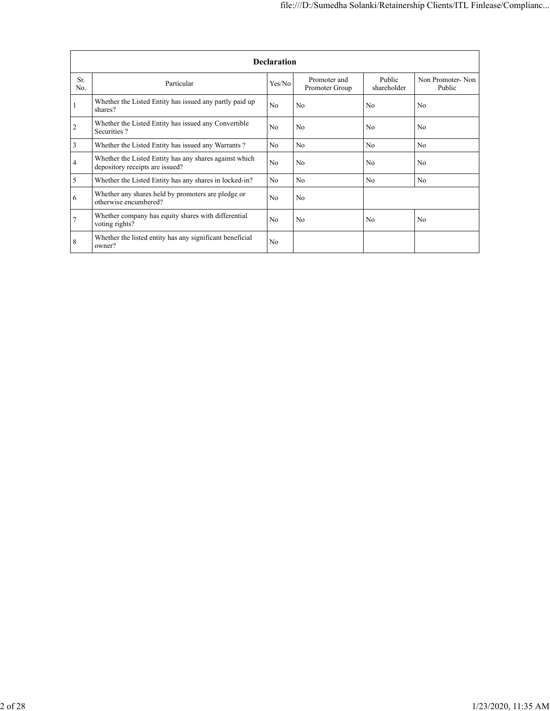|            |                                                                                           | <b>Declaration</b> |                                |                       |                            |
|------------|-------------------------------------------------------------------------------------------|--------------------|--------------------------------|-----------------------|----------------------------|
| Sr.<br>No. | Particular                                                                                | Yes/No             | Promoter and<br>Promoter Group | Public<br>shareholder | Non Promoter-Non<br>Public |
|            | Whether the Listed Entity has issued any partly paid up<br>shares?                        | N <sub>0</sub>     | No                             | N <sub>0</sub>        | N <sub>0</sub>             |
| 2          | Whether the Listed Entity has issued any Convertible<br>Securities?                       | No                 | N <sub>o</sub>                 | N <sub>0</sub>        | N <sub>o</sub>             |
| 3          | Whether the Listed Entity has issued any Warrants?                                        | No                 | N <sub>o</sub>                 | No                    | N <sub>o</sub>             |
| 4          | Whether the Listed Entity has any shares against which<br>depository receipts are issued? | No                 | No                             | N <sub>0</sub>        | N <sub>o</sub>             |
| 5          | Whether the Listed Entity has any shares in locked-in?                                    | No                 | N <sub>o</sub>                 | No                    | N <sub>o</sub>             |
| 6          | Whether any shares held by promoters are pledge or<br>otherwise encumbered?               | No                 | N <sub>o</sub>                 |                       |                            |
|            | Whether company has equity shares with differential<br>voting rights?                     | No                 | N <sub>o</sub>                 | No                    | No                         |
| 8          | Whether the listed entity has any significant beneficial<br>owner?                        | No                 |                                |                       |                            |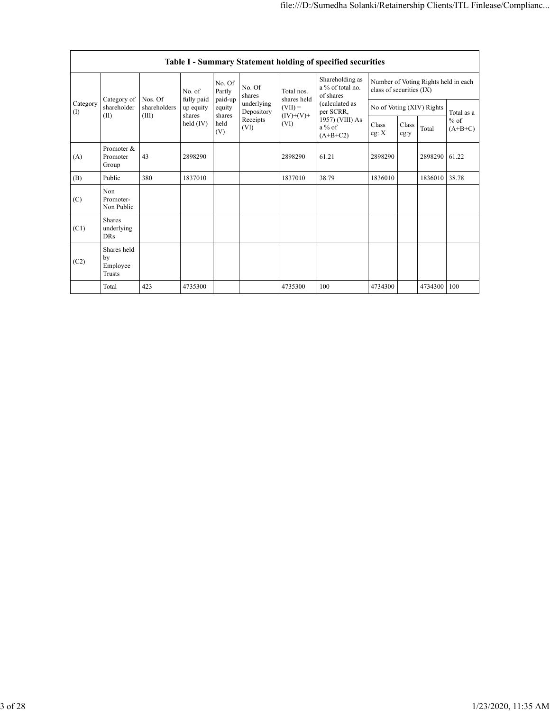|                         |                                         |                                                 |                      |                             |                          |                                  | Table I - Summary Statement holding of specified securities              |                           |                                      |         |                     |
|-------------------------|-----------------------------------------|-------------------------------------------------|----------------------|-----------------------------|--------------------------|----------------------------------|--------------------------------------------------------------------------|---------------------------|--------------------------------------|---------|---------------------|
|                         |                                         | Nos. Of<br>Category of<br>shareholders<br>(III) | No. of<br>fully paid | No. Of<br>Partly<br>paid-up | No. Of<br>shares         | Total nos.<br>shares held        | Shareholding as<br>a % of total no.<br>of shares                         | class of securities (IX)  | Number of Voting Rights held in each |         |                     |
| Category<br>(1)<br>(II) | shareholder                             |                                                 | up equity<br>shares  | equity<br>shares            | underlying<br>Depository | $(VII) =$<br>$(IV)+(V)+$<br>(VI) | (calculated as<br>per SCRR,<br>1957) (VIII) As<br>$a\%$ of<br>$(A+B+C2)$ | No of Voting (XIV) Rights |                                      |         | Total as a          |
|                         |                                         |                                                 | held (IV)            | held<br>(V)                 | Receipts<br>(VI)         |                                  |                                                                          | <b>Class</b><br>eg: X     | Class<br>eg:y                        | Total   | $%$ of<br>$(A+B+C)$ |
| (A)                     | Promoter &<br>Promoter<br>Group         | 43                                              | 2898290              |                             |                          | 2898290                          | 61.21                                                                    | 2898290                   |                                      | 2898290 | 61.22               |
| (B)                     | Public                                  | 380                                             | 1837010              |                             |                          | 1837010                          | 38.79                                                                    | 1836010                   |                                      | 1836010 | 38.78               |
| (C)                     | <b>Non</b><br>Promoter-<br>Non Public   |                                                 |                      |                             |                          |                                  |                                                                          |                           |                                      |         |                     |
| (C1)                    | Shares<br>underlying<br><b>DRs</b>      |                                                 |                      |                             |                          |                                  |                                                                          |                           |                                      |         |                     |
| (C2)                    | Shares held<br>by<br>Employee<br>Trusts |                                                 |                      |                             |                          |                                  |                                                                          |                           |                                      |         |                     |
|                         | Total                                   | 423                                             | 4735300              |                             |                          | 4735300                          | 100                                                                      | 4734300                   |                                      | 4734300 | 100                 |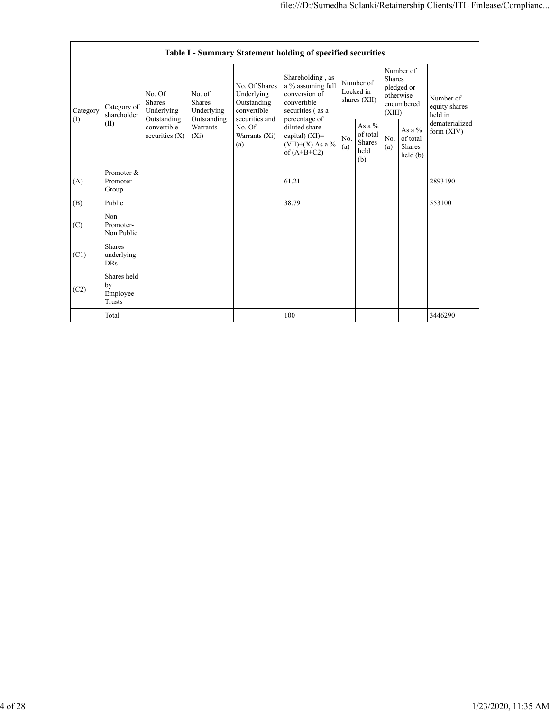|                 |                                                |                                                      |                                                                             |                                                                             | Table I - Summary Statement holding of specified securities                                                |                                        |                                                      |                                                                               |                                                                  |                                       |
|-----------------|------------------------------------------------|------------------------------------------------------|-----------------------------------------------------------------------------|-----------------------------------------------------------------------------|------------------------------------------------------------------------------------------------------------|----------------------------------------|------------------------------------------------------|-------------------------------------------------------------------------------|------------------------------------------------------------------|---------------------------------------|
| Category<br>(1) | Category of<br>shareholder<br>(II)             | No. Of<br><b>Shares</b><br>Underlying<br>Outstanding | No. of<br><b>Shares</b><br>Underlying<br>Outstanding<br>Warrants<br>$(X_i)$ | No. Of Shares<br>Underlying<br>Outstanding<br>convertible<br>securities and | Shareholding, as<br>a % assuming full<br>conversion of<br>convertible<br>securities (as a<br>percentage of | Number of<br>Locked in<br>shares (XII) |                                                      | Number of<br><b>Shares</b><br>pledged or<br>otherwise<br>encumbered<br>(XIII) |                                                                  | Number of<br>equity shares<br>held in |
|                 |                                                | convertible<br>securities $(X)$                      |                                                                             | No. Of<br>Warrants (Xi)<br>(a)                                              | diluted share<br>capital) $(XI)$ =<br>$(VII)+(X)$ As a %<br>of $(A+B+C2)$                                  | No.<br>(a)                             | As a $%$<br>of total<br><b>Shares</b><br>held<br>(b) | No.<br>(a)                                                                    | As a $%$<br>of total<br><b>Shares</b><br>$\text{held}(\text{b})$ | dematerialized<br>form $(XIV)$        |
| (A)             | Promoter &<br>Promoter<br>Group                |                                                      |                                                                             |                                                                             | 61.21                                                                                                      |                                        |                                                      |                                                                               |                                                                  | 2893190                               |
| (B)             | Public                                         |                                                      |                                                                             |                                                                             | 38.79                                                                                                      |                                        |                                                      |                                                                               |                                                                  | 553100                                |
| (C)             | Non<br>Promoter-<br>Non Public                 |                                                      |                                                                             |                                                                             |                                                                                                            |                                        |                                                      |                                                                               |                                                                  |                                       |
| (C1)            | <b>Shares</b><br>underlying<br><b>DRs</b>      |                                                      |                                                                             |                                                                             |                                                                                                            |                                        |                                                      |                                                                               |                                                                  |                                       |
| (C2)            | Shares held<br>by<br>Employee<br><b>Trusts</b> |                                                      |                                                                             |                                                                             |                                                                                                            |                                        |                                                      |                                                                               |                                                                  |                                       |
|                 | Total                                          |                                                      |                                                                             |                                                                             | 100                                                                                                        |                                        |                                                      |                                                                               |                                                                  | 3446290                               |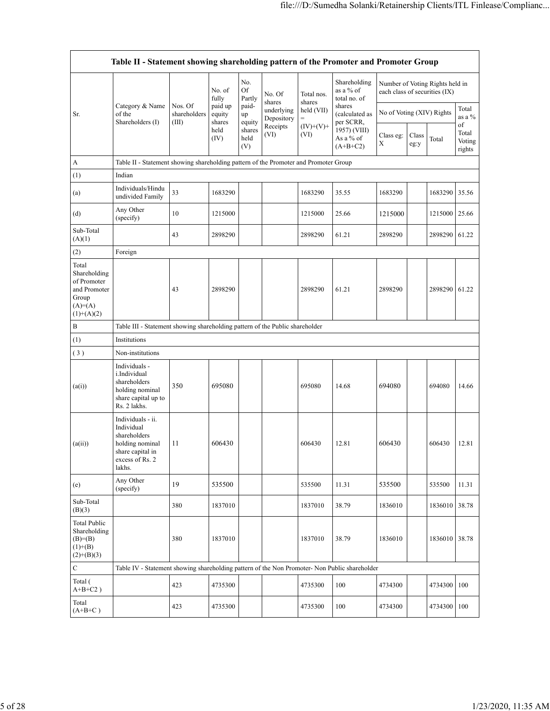|                                                                                             | Table II - Statement showing shareholding pattern of the Promoter and Promoter Group                                |                                  |                             |                       |                          |                      |                                           |                                                                  |               |         |                                 |
|---------------------------------------------------------------------------------------------|---------------------------------------------------------------------------------------------------------------------|----------------------------------|-----------------------------|-----------------------|--------------------------|----------------------|-------------------------------------------|------------------------------------------------------------------|---------------|---------|---------------------------------|
|                                                                                             |                                                                                                                     |                                  | No. of<br>fully             | No.<br>Of<br>Partly   | No. Of<br>shares         | Total nos.<br>shares | Shareholding<br>as a % of<br>total no. of | Number of Voting Rights held in<br>each class of securities (IX) |               |         |                                 |
| Sr.                                                                                         | Category & Name<br>of the<br>Shareholders (I)                                                                       | Nos. Of<br>shareholders<br>(III) | paid up<br>equity<br>shares | paid-<br>up<br>equity | underlying<br>Depository | held (VII)<br>$=$    | shares<br>(calculated as<br>per SCRR,     | No of Voting (XIV) Rights                                        |               |         | Total<br>as a $\%$              |
|                                                                                             |                                                                                                                     |                                  | held<br>(IV)                | shares<br>held<br>(V) | Receipts<br>(VI)         | $(IV)+(V)+$<br>(VI)  | 1957) (VIII)<br>As a % of<br>$(A+B+C2)$   | Class eg:<br>X                                                   | Class<br>eg:y | Total   | of<br>Total<br>Voting<br>rights |
| A                                                                                           | Table II - Statement showing shareholding pattern of the Promoter and Promoter Group                                |                                  |                             |                       |                          |                      |                                           |                                                                  |               |         |                                 |
| (1)                                                                                         | Indian                                                                                                              |                                  |                             |                       |                          |                      |                                           |                                                                  |               |         |                                 |
| (a)                                                                                         | Individuals/Hindu<br>undivided Family                                                                               | 33                               | 1683290                     |                       |                          | 1683290              | 35.55                                     | 1683290                                                          |               | 1683290 | 35.56                           |
| (d)                                                                                         | Any Other<br>(specify)                                                                                              | 10                               | 1215000                     |                       |                          | 1215000              | 25.66                                     | 1215000                                                          |               | 1215000 | 25.66                           |
| Sub-Total<br>(A)(1)                                                                         |                                                                                                                     | 43                               | 2898290                     |                       |                          | 2898290              | 61.21                                     | 2898290                                                          |               | 2898290 | 61.22                           |
| (2)                                                                                         | Foreign                                                                                                             |                                  |                             |                       |                          |                      |                                           |                                                                  |               |         |                                 |
| Total<br>Shareholding<br>of Promoter<br>and Promoter<br>Group<br>$(A)= (A)$<br>$(1)+(A)(2)$ |                                                                                                                     | 43                               | 2898290                     |                       |                          | 2898290              | 61.21                                     | 2898290                                                          |               | 2898290 | 61.22                           |
| $\, {\bf B}$                                                                                | Table III - Statement showing shareholding pattern of the Public shareholder                                        |                                  |                             |                       |                          |                      |                                           |                                                                  |               |         |                                 |
| (1)                                                                                         | Institutions                                                                                                        |                                  |                             |                       |                          |                      |                                           |                                                                  |               |         |                                 |
| (3)                                                                                         | Non-institutions                                                                                                    |                                  |                             |                       |                          |                      |                                           |                                                                  |               |         |                                 |
| (a(i))                                                                                      | Individuals -<br>i.Individual<br>shareholders<br>holding nominal<br>share capital up to<br>Rs. 2 lakhs.             | 350                              | 695080                      |                       |                          | 695080               | 14.68                                     | 694080                                                           |               | 694080  | 14.66                           |
| (a(ii))                                                                                     | Individuals - ii.<br>Individual<br>shareholders<br>holding nominal<br>share capital in<br>excess of Rs. 2<br>lakhs. | 11                               | 606430                      |                       |                          | 606430               | 12.81                                     | 606430                                                           |               | 606430  | 12.81                           |
| (e)                                                                                         | Any Other<br>(specify)                                                                                              | 19                               | 535500                      |                       |                          | 535500               | 11.31                                     | 535500                                                           |               | 535500  | 11.31                           |
| Sub-Total<br>(B)(3)                                                                         |                                                                                                                     | 380                              | 1837010                     |                       |                          | 1837010              | 38.79                                     | 1836010                                                          |               | 1836010 | 38.78                           |
| <b>Total Public</b><br>Shareholding<br>$(B)=B)$<br>$(1)+(B)$<br>$(2)+(B)(3)$                |                                                                                                                     | 380                              | 1837010                     |                       |                          | 1837010              | 38.79                                     | 1836010                                                          |               | 1836010 | 38.78                           |
| $\mathbf C$                                                                                 | Table IV - Statement showing shareholding pattern of the Non Promoter- Non Public shareholder                       |                                  |                             |                       |                          |                      |                                           |                                                                  |               |         |                                 |
| Total (<br>$A+B+C2$ )                                                                       |                                                                                                                     | 423                              | 4735300                     |                       |                          | 4735300              | 100                                       | 4734300                                                          |               | 4734300 | 100                             |
| Total<br>$(A+B+C)$                                                                          |                                                                                                                     | 423                              | 4735300                     |                       |                          | 4735300              | 100                                       | 4734300                                                          |               | 4734300 | 100                             |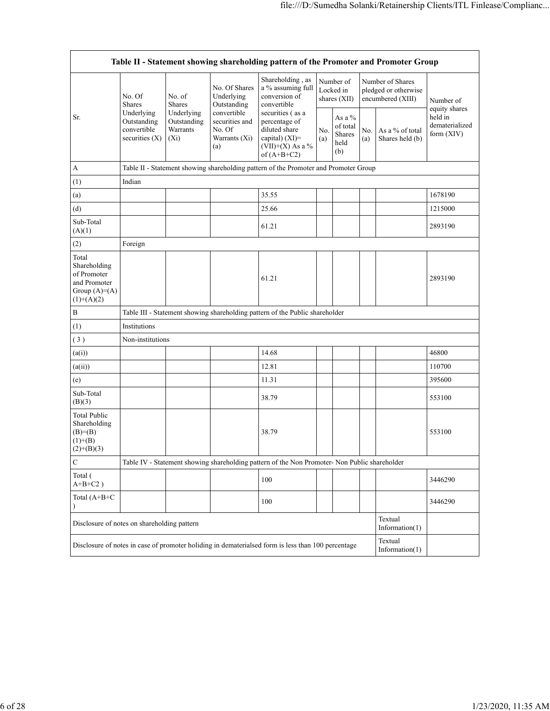| Table II - Statement showing shareholding pattern of the Promoter and Promoter Group   |                                                            |                                                  |                                                                                |                                                                                                           |            |                                               |            |                                                               |                                                            |  |  |  |  |
|----------------------------------------------------------------------------------------|------------------------------------------------------------|--------------------------------------------------|--------------------------------------------------------------------------------|-----------------------------------------------------------------------------------------------------------|------------|-----------------------------------------------|------------|---------------------------------------------------------------|------------------------------------------------------------|--|--|--|--|
|                                                                                        | No. Of<br><b>Shares</b>                                    | No. of<br>Shares                                 |                                                                                | Shareholding, as<br>a % assuming full<br>conversion of<br>convertible                                     |            | Number of<br>Locked in<br>shares $(XII)$      |            | Number of Shares<br>pledged or otherwise<br>encumbered (XIII) | Number of                                                  |  |  |  |  |
| Sr.                                                                                    | Underlying<br>Outstanding<br>convertible<br>securities (X) | Underlying<br>Outstanding<br>Warrants<br>$(X_i)$ | Outstanding<br>convertible<br>securities and<br>No. Of<br>Warrants (Xi)<br>(a) | securities (as a<br>percentage of<br>diluted share<br>capital) (XI)=<br>(VII)+(X) As a %<br>of $(A+B+C2)$ | No.<br>(a) | As a $%$<br>of total<br>Shares<br>held<br>(b) | No.<br>(a) | As a % of total<br>Shares held (b)                            | equity shares<br>held in<br>dematerialized<br>form $(XIV)$ |  |  |  |  |
| А                                                                                      |                                                            |                                                  |                                                                                | Table II - Statement showing shareholding pattern of the Promoter and Promoter Group                      |            |                                               |            |                                                               |                                                            |  |  |  |  |
| (1)                                                                                    | Indian                                                     |                                                  |                                                                                |                                                                                                           |            |                                               |            |                                                               |                                                            |  |  |  |  |
| (a)                                                                                    |                                                            |                                                  |                                                                                | 35.55                                                                                                     |            |                                               |            |                                                               | 1678190                                                    |  |  |  |  |
| (d)                                                                                    |                                                            |                                                  |                                                                                | 25.66                                                                                                     |            |                                               |            |                                                               | 1215000                                                    |  |  |  |  |
| Sub-Total<br>(A)(1)                                                                    |                                                            |                                                  |                                                                                | 61.21                                                                                                     |            |                                               |            |                                                               | 2893190                                                    |  |  |  |  |
| (2)                                                                                    | Foreign                                                    |                                                  |                                                                                |                                                                                                           |            |                                               |            |                                                               |                                                            |  |  |  |  |
| Total<br>Shareholding<br>of Promoter<br>and Promoter<br>Group $(A)=A)$<br>$(1)+(A)(2)$ |                                                            |                                                  |                                                                                | 61.21                                                                                                     |            |                                               |            |                                                               | 2893190                                                    |  |  |  |  |
| B                                                                                      |                                                            |                                                  |                                                                                | Table III - Statement showing shareholding pattern of the Public shareholder                              |            |                                               |            |                                                               |                                                            |  |  |  |  |
| (1)                                                                                    | Institutions                                               |                                                  |                                                                                |                                                                                                           |            |                                               |            |                                                               |                                                            |  |  |  |  |
| (3)                                                                                    | Non-institutions                                           |                                                  |                                                                                |                                                                                                           |            |                                               |            |                                                               |                                                            |  |  |  |  |
| (a(i))                                                                                 |                                                            |                                                  |                                                                                | 14.68                                                                                                     |            |                                               |            |                                                               | 46800                                                      |  |  |  |  |
| (a(ii))                                                                                |                                                            |                                                  |                                                                                | 12.81                                                                                                     |            |                                               |            |                                                               | 110700                                                     |  |  |  |  |
| (e)                                                                                    |                                                            |                                                  |                                                                                | 11.31                                                                                                     |            |                                               |            |                                                               | 395600                                                     |  |  |  |  |
| Sub-Total<br>(B)(3)                                                                    |                                                            |                                                  |                                                                                | 38.79                                                                                                     |            |                                               |            |                                                               | 553100                                                     |  |  |  |  |
| Total Public<br>Shareholding<br>$(B)=B)$<br>$(1)+(B)$<br>$(2)+(B)(3)$                  |                                                            |                                                  |                                                                                | 38.79                                                                                                     |            |                                               |            |                                                               | 553100                                                     |  |  |  |  |
| $\mathbf C$                                                                            |                                                            |                                                  |                                                                                | Table IV - Statement showing shareholding pattern of the Non Promoter- Non Public shareholder             |            |                                               |            |                                                               |                                                            |  |  |  |  |
| Total (<br>$A+B+C2$ )                                                                  |                                                            |                                                  |                                                                                | 100                                                                                                       |            |                                               |            |                                                               | 3446290                                                    |  |  |  |  |
| Total (A+B+C                                                                           |                                                            |                                                  |                                                                                | 100                                                                                                       |            |                                               |            |                                                               | 3446290                                                    |  |  |  |  |
| Disclosure of notes on shareholding pattern                                            |                                                            |                                                  |                                                                                |                                                                                                           |            |                                               |            | Textual<br>Information(1)                                     |                                                            |  |  |  |  |
|                                                                                        |                                                            |                                                  |                                                                                | Disclosure of notes in case of promoter holiding in dematerialsed form is less than 100 percentage        |            |                                               |            | Textual<br>Information $(1)$                                  |                                                            |  |  |  |  |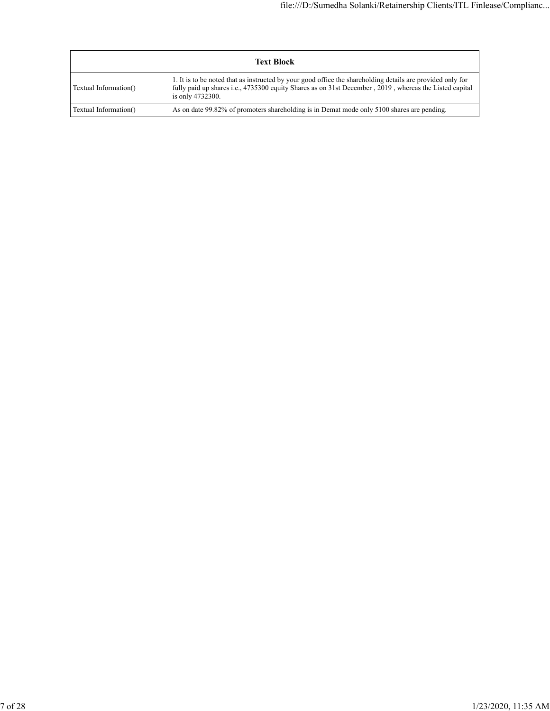| <b>Text Block</b>     |                                                                                                                                                                                                                                          |  |  |  |  |  |  |
|-----------------------|------------------------------------------------------------------------------------------------------------------------------------------------------------------------------------------------------------------------------------------|--|--|--|--|--|--|
| Textual Information() | 1. It is to be noted that as instructed by your good office the shareholding details are provided only for<br>fully paid up shares i.e., 4735300 equity Shares as on 31st December, 2019, whereas the Listed capital<br>is only 4732300. |  |  |  |  |  |  |
| Textual Information() | As on date 99.82% of promoters shareholding is in Demat mode only 5100 shares are pending.                                                                                                                                               |  |  |  |  |  |  |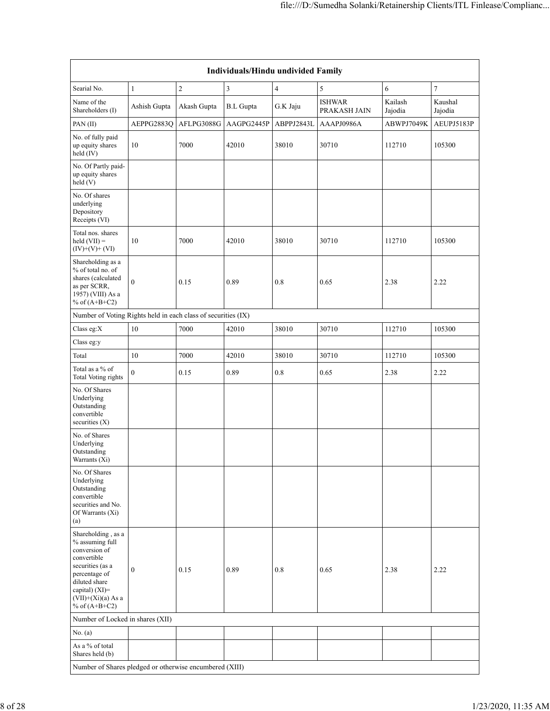| <b>Individuals/Hindu undivided Family</b>                                                                                                                                                |                  |             |                  |                |                               |                    |                    |  |  |  |  |  |
|------------------------------------------------------------------------------------------------------------------------------------------------------------------------------------------|------------------|-------------|------------------|----------------|-------------------------------|--------------------|--------------------|--|--|--|--|--|
| Searial No.                                                                                                                                                                              | $\mathbf{1}$     | $\sqrt{2}$  | $\mathfrak{Z}$   | $\overline{4}$ | $\sqrt{5}$                    | 6                  | $\tau$             |  |  |  |  |  |
| Name of the<br>Shareholders (I)                                                                                                                                                          | Ashish Gupta     | Akash Gupta | <b>B.L</b> Gupta | G.K Jaju       | <b>ISHWAR</b><br>PRAKASH JAIN | Kailash<br>Jajodia | Kaushal<br>Jajodia |  |  |  |  |  |
| PAN(II)                                                                                                                                                                                  | AEPPG2883O       | AFLPG3088G  | AAGPG2445P       | ABPPJ2843L     | AAAPJ0986A                    | ABWPJ7049K         | AEUPJ5183P         |  |  |  |  |  |
| No. of fully paid<br>up equity shares<br>held (IV)                                                                                                                                       | 10               | 7000        | 42010            | 38010          | 30710                         | 112710             | 105300             |  |  |  |  |  |
| No. Of Partly paid-<br>up equity shares<br>held(V)                                                                                                                                       |                  |             |                  |                |                               |                    |                    |  |  |  |  |  |
| No. Of shares<br>underlying<br>Depository<br>Receipts (VI)                                                                                                                               |                  |             |                  |                |                               |                    |                    |  |  |  |  |  |
| Total nos. shares<br>$held (VII) =$<br>$(IV)+(V)+(VI)$                                                                                                                                   | 10               | 7000        | 42010            | 38010          | 30710                         | 112710             | 105300             |  |  |  |  |  |
| Shareholding as a<br>% of total no. of<br>shares (calculated<br>as per SCRR,<br>1957) (VIII) As a<br>% of $(A+B+C2)$                                                                     | $\mathbf{0}$     | 0.15        | 0.89             | 0.8            | 0.65                          | 2.38               | 2.22               |  |  |  |  |  |
| Number of Voting Rights held in each class of securities (IX)                                                                                                                            |                  |             |                  |                |                               |                    |                    |  |  |  |  |  |
| Class eg:X                                                                                                                                                                               | 10               | 7000        | 42010            | 38010          | 30710                         | 112710             | 105300             |  |  |  |  |  |
| Class eg:y                                                                                                                                                                               |                  |             |                  |                |                               |                    |                    |  |  |  |  |  |
| Total                                                                                                                                                                                    | 10               | 7000        | 42010            | 38010          | 30710                         | 112710             | 105300             |  |  |  |  |  |
| Total as a % of<br><b>Total Voting rights</b>                                                                                                                                            | $\boldsymbol{0}$ | 0.15        | 0.89             | 0.8            | 0.65                          | 2.38               | 2.22               |  |  |  |  |  |
| No. Of Shares<br>Underlying<br>Outstanding<br>convertible<br>securities $(X)$                                                                                                            |                  |             |                  |                |                               |                    |                    |  |  |  |  |  |
| No. of Shares<br>Underlying<br>Outstanding<br>Warrants (Xi)                                                                                                                              |                  |             |                  |                |                               |                    |                    |  |  |  |  |  |
| No. Of Shares<br>Underlying<br>Outstanding<br>convertible<br>securities and No.<br>Of Warrants (Xi)<br>(a)                                                                               |                  |             |                  |                |                               |                    |                    |  |  |  |  |  |
| Shareholding, as a<br>% assuming full<br>conversion of<br>convertible<br>securities (as a<br>percentage of<br>diluted share<br>capital) (XI)=<br>$(VII)+(Xi)(a)$ As a<br>% of $(A+B+C2)$ | $\boldsymbol{0}$ | 0.15        | 0.89             | 0.8            | 0.65                          | 2.38               | 2.22               |  |  |  |  |  |
| Number of Locked in shares (XII)                                                                                                                                                         |                  |             |                  |                |                               |                    |                    |  |  |  |  |  |
| No. (a)                                                                                                                                                                                  |                  |             |                  |                |                               |                    |                    |  |  |  |  |  |
| As a % of total<br>Shares held (b)                                                                                                                                                       |                  |             |                  |                |                               |                    |                    |  |  |  |  |  |
| Number of Shares pledged or otherwise encumbered (XIII)                                                                                                                                  |                  |             |                  |                |                               |                    |                    |  |  |  |  |  |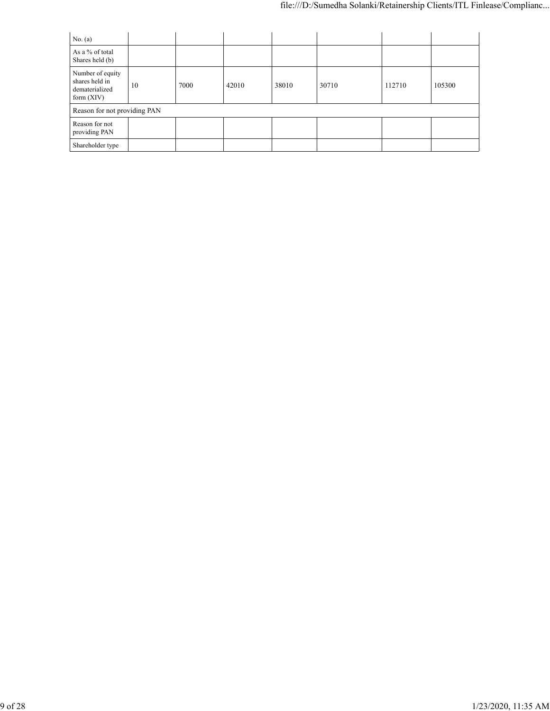| No. (a)                                                              |    |      |       |       |       |        |        |
|----------------------------------------------------------------------|----|------|-------|-------|-------|--------|--------|
| As a % of total<br>Shares held (b)                                   |    |      |       |       |       |        |        |
| Number of equity<br>shares held in<br>dematerialized<br>form $(XIV)$ | 10 | 7000 | 42010 | 38010 | 30710 | 112710 | 105300 |
| Reason for not providing PAN                                         |    |      |       |       |       |        |        |
| Reason for not<br>providing PAN                                      |    |      |       |       |       |        |        |
| Shareholder type                                                     |    |      |       |       |       |        |        |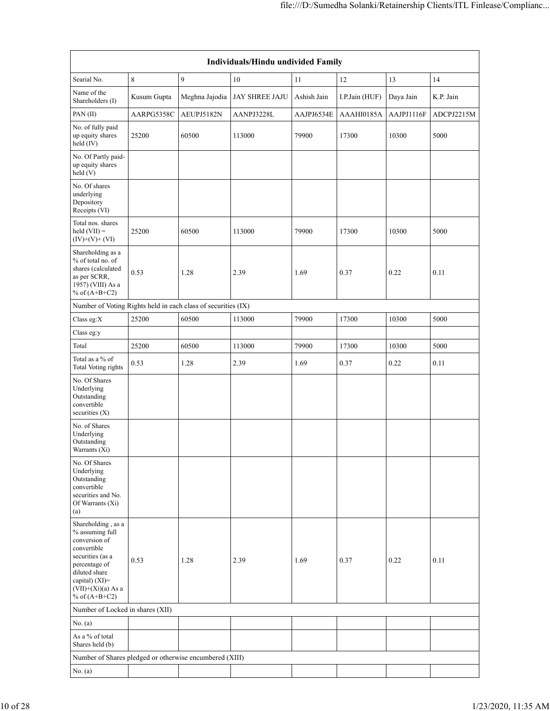| Individuals/Hindu undivided Family                                                                                                                                                       |             |                |                       |             |                |            |            |  |  |  |  |
|------------------------------------------------------------------------------------------------------------------------------------------------------------------------------------------|-------------|----------------|-----------------------|-------------|----------------|------------|------------|--|--|--|--|
| Searial No.                                                                                                                                                                              | $\,$ 8 $\,$ | 9              | 10                    | 11          | 12             | 13         | 14         |  |  |  |  |
| Name of the<br>Shareholders (I)                                                                                                                                                          | Kusum Gupta | Meghna Jajodia | <b>JAY SHREE JAJU</b> | Ashish Jain | I.P.Jain (HUF) | Daya Jain  | K.P. Jain  |  |  |  |  |
| PAN(II)                                                                                                                                                                                  | AARPG5358C  | AEUPJ5182N     | AANPJ3228L            | AAJPJ6534E  | AAAHI0185A     | AAJPJ1116F | ADCPJ2215M |  |  |  |  |
| No. of fully paid<br>up equity shares<br>held $(IV)$                                                                                                                                     | 25200       | 60500          | 113000                | 79900       | 17300          | 10300      | 5000       |  |  |  |  |
| No. Of Partly paid-<br>up equity shares<br>held $(V)$                                                                                                                                    |             |                |                       |             |                |            |            |  |  |  |  |
| No. Of shares<br>underlying<br>Depository<br>Receipts (VI)                                                                                                                               |             |                |                       |             |                |            |            |  |  |  |  |
| Total nos. shares<br>held $(VII) =$<br>$(IV)+(V)+(VI)$                                                                                                                                   | 25200       | 60500          | 113000                | 79900       | 17300          | 10300      | 5000       |  |  |  |  |
| Shareholding as a<br>% of total no. of<br>shares (calculated<br>as per SCRR,<br>1957) (VIII) As a<br>% of $(A+B+C2)$                                                                     | 0.53        | 1.28           | 2.39                  | 1.69        | 0.37           | 0.22       | 0.11       |  |  |  |  |
| Number of Voting Rights held in each class of securities (IX)                                                                                                                            |             |                |                       |             |                |            |            |  |  |  |  |
| Class eg:X                                                                                                                                                                               | 25200       | 60500          | 113000                | 79900       | 17300          | 10300      | 5000       |  |  |  |  |
| Class eg:y                                                                                                                                                                               |             |                |                       |             |                |            |            |  |  |  |  |
| Total                                                                                                                                                                                    | 25200       | 60500          | 113000                | 79900       | 17300          | 10300      | 5000       |  |  |  |  |
| Total as a $\%$ of<br><b>Total Voting rights</b>                                                                                                                                         | 0.53        | 1.28           | 2.39                  | 1.69        | 0.37           | 0.22       | 0.11       |  |  |  |  |
| No. Of Shares<br>Underlying<br>Outstanding<br>convertible<br>securities $(X)$                                                                                                            |             |                |                       |             |                |            |            |  |  |  |  |
| No. of Shares<br>Underlying<br>Outstanding<br>Warrants (Xi)                                                                                                                              |             |                |                       |             |                |            |            |  |  |  |  |
| No. Of Shares<br>Underlying<br>Outstanding<br>convertible<br>securities and No.<br>Of Warrants (Xi)<br>(a)                                                                               |             |                |                       |             |                |            |            |  |  |  |  |
| Shareholding, as a<br>% assuming full<br>conversion of<br>convertible<br>securities (as a<br>percentage of<br>diluted share<br>capital) (XI)=<br>$(VII)+(Xi)(a)$ As a<br>% of $(A+B+C2)$ | 0.53        | 1.28           | 2.39                  | 1.69        | 0.37           | 0.22       | 0.11       |  |  |  |  |
| Number of Locked in shares (XII)                                                                                                                                                         |             |                |                       |             |                |            |            |  |  |  |  |
| No. (a)                                                                                                                                                                                  |             |                |                       |             |                |            |            |  |  |  |  |
| As a % of total<br>Shares held (b)                                                                                                                                                       |             |                |                       |             |                |            |            |  |  |  |  |
| Number of Shares pledged or otherwise encumbered (XIII)                                                                                                                                  |             |                |                       |             |                |            |            |  |  |  |  |
| No. (a)                                                                                                                                                                                  |             |                |                       |             |                |            |            |  |  |  |  |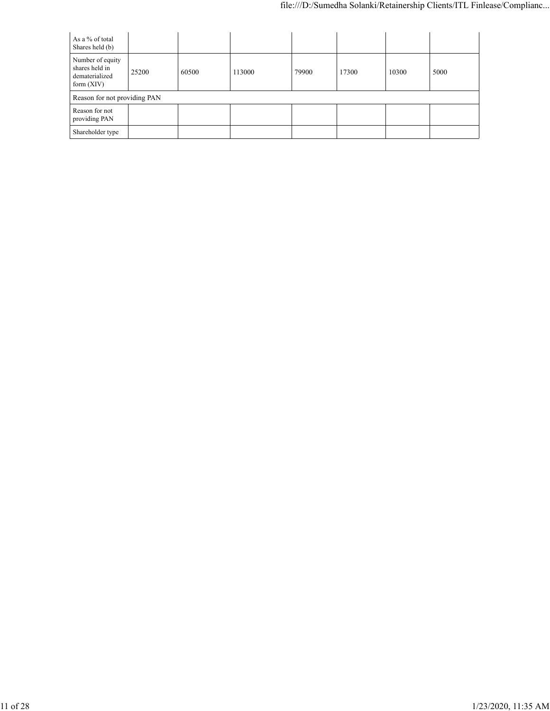| As a % of total<br>Shares held (b)                                   |       |       |        |       |       |       |      |
|----------------------------------------------------------------------|-------|-------|--------|-------|-------|-------|------|
| Number of equity<br>shares held in<br>dematerialized<br>form $(XIV)$ | 25200 | 60500 | 113000 | 79900 | 17300 | 10300 | 5000 |
| Reason for not providing PAN                                         |       |       |        |       |       |       |      |
| Reason for not<br>providing PAN                                      |       |       |        |       |       |       |      |
| Shareholder type                                                     |       |       |        |       |       |       |      |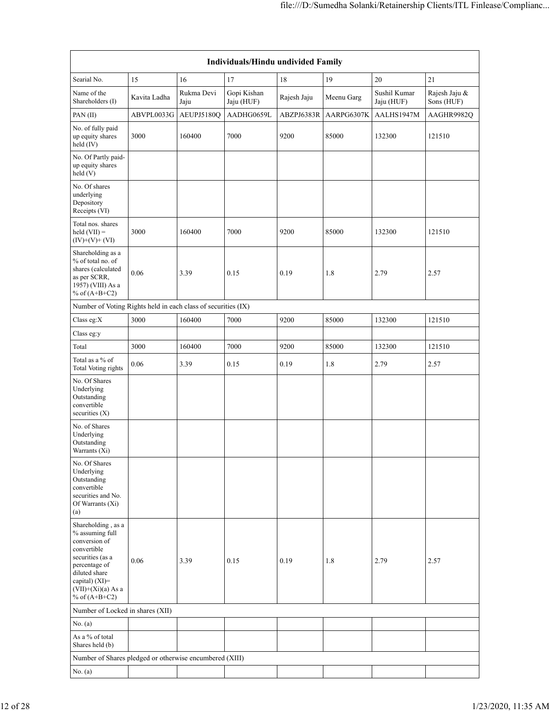| Individuals/Hindu undivided Family                                                                                                                                                       |              |                    |                           |             |            |                            |                             |  |  |  |  |  |
|------------------------------------------------------------------------------------------------------------------------------------------------------------------------------------------|--------------|--------------------|---------------------------|-------------|------------|----------------------------|-----------------------------|--|--|--|--|--|
| Searial No.                                                                                                                                                                              | 15           | 16                 | 17                        | 18          | 19         | 20                         | 21                          |  |  |  |  |  |
| Name of the<br>Shareholders (I)                                                                                                                                                          | Kavita Ladha | Rukma Devi<br>Jaju | Gopi Kishan<br>Jaju (HUF) | Rajesh Jaju | Meenu Garg | Sushil Kumar<br>Jaju (HUF) | Rajesh Jaju &<br>Sons (HUF) |  |  |  |  |  |
| PAN(II)                                                                                                                                                                                  | ABVPL0033G   | AEUPJ5180Q         | AADHG0659L                | ABZPJ6383R  | AARPG6307K | AALHS1947M                 | AAGHR9982Q                  |  |  |  |  |  |
| No. of fully paid<br>up equity shares<br>held $(IV)$                                                                                                                                     | 3000         | 160400             | 7000                      | 9200        | 85000      | 132300                     | 121510                      |  |  |  |  |  |
| No. Of Partly paid-<br>up equity shares<br>held(V)                                                                                                                                       |              |                    |                           |             |            |                            |                             |  |  |  |  |  |
| No. Of shares<br>underlying<br>Depository<br>Receipts (VI)                                                                                                                               |              |                    |                           |             |            |                            |                             |  |  |  |  |  |
| Total nos. shares<br>held $(VII) =$<br>$(IV)+(V)+(VI)$                                                                                                                                   | 3000         | 160400             | 7000                      | 9200        | 85000      | 132300                     | 121510                      |  |  |  |  |  |
| Shareholding as a<br>% of total no. of<br>shares (calculated<br>as per SCRR,<br>1957) (VIII) As a<br>% of $(A+B+C2)$                                                                     | 0.06         | 3.39               | 0.15                      | 0.19        | 1.8        | 2.79                       | 2.57                        |  |  |  |  |  |
| Number of Voting Rights held in each class of securities (IX)                                                                                                                            |              |                    |                           |             |            |                            |                             |  |  |  |  |  |
| Class eg:X                                                                                                                                                                               | 3000         | 160400             | 7000                      | 9200        | 85000      | 132300                     | 121510                      |  |  |  |  |  |
| Class eg:y                                                                                                                                                                               |              |                    |                           |             |            |                            |                             |  |  |  |  |  |
| Total                                                                                                                                                                                    | 3000         | 160400             | 7000                      | 9200        | 85000      | 132300                     | 121510                      |  |  |  |  |  |
| Total as a % of<br><b>Total Voting rights</b>                                                                                                                                            | 0.06         | 3.39               | 0.15                      | 0.19        | 1.8        | 2.79                       | 2.57                        |  |  |  |  |  |
| No. Of Shares<br>Underlying<br>Outstanding<br>convertible<br>securities $(X)$                                                                                                            |              |                    |                           |             |            |                            |                             |  |  |  |  |  |
| No. of Shares<br>Underlying<br>Outstanding<br>Warrants (Xi)                                                                                                                              |              |                    |                           |             |            |                            |                             |  |  |  |  |  |
| No. Of Shares<br>Underlying<br>Outstanding<br>convertible<br>securities and No.<br>Of Warrants (Xi)<br>(a)                                                                               |              |                    |                           |             |            |                            |                             |  |  |  |  |  |
| Shareholding, as a<br>% assuming full<br>conversion of<br>convertible<br>securities (as a<br>percentage of<br>diluted share<br>capital) (XI)=<br>$(VII)+(Xi)(a)$ As a<br>% of $(A+B+C2)$ | 0.06         | 3.39               | 0.15                      | 0.19        | 1.8        | 2.79                       | 2.57                        |  |  |  |  |  |
| Number of Locked in shares (XII)                                                                                                                                                         |              |                    |                           |             |            |                            |                             |  |  |  |  |  |
| No. (a)                                                                                                                                                                                  |              |                    |                           |             |            |                            |                             |  |  |  |  |  |
| As a % of total<br>Shares held (b)                                                                                                                                                       |              |                    |                           |             |            |                            |                             |  |  |  |  |  |
| Number of Shares pledged or otherwise encumbered (XIII)                                                                                                                                  |              |                    |                           |             |            |                            |                             |  |  |  |  |  |
| No. (a)                                                                                                                                                                                  |              |                    |                           |             |            |                            |                             |  |  |  |  |  |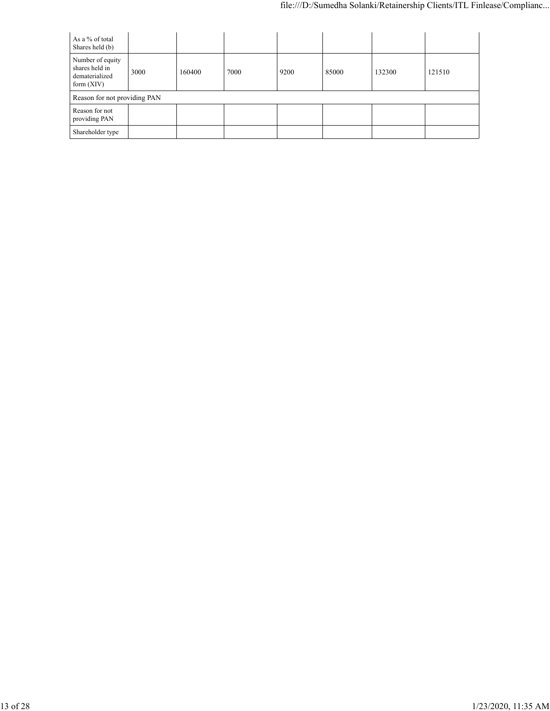| As a % of total<br>Shares held (b)                                   |      |        |      |      |       |        |        |
|----------------------------------------------------------------------|------|--------|------|------|-------|--------|--------|
| Number of equity<br>shares held in<br>dematerialized<br>form $(XIV)$ | 3000 | 160400 | 7000 | 9200 | 85000 | 132300 | 121510 |
| Reason for not providing PAN                                         |      |        |      |      |       |        |        |
| Reason for not<br>providing PAN                                      |      |        |      |      |       |        |        |
| Shareholder type                                                     |      |        |      |      |       |        |        |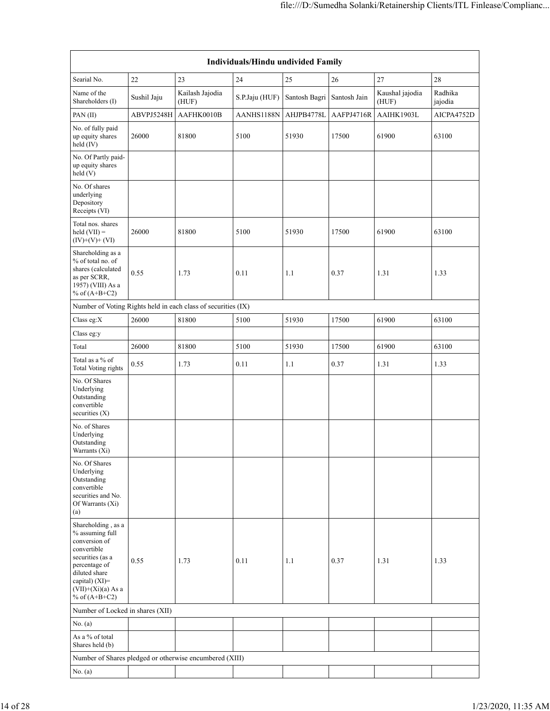|                                                                                                                                                                                          | Individuals/Hindu undivided Family |                                                               |                |               |              |                          |                    |
|------------------------------------------------------------------------------------------------------------------------------------------------------------------------------------------|------------------------------------|---------------------------------------------------------------|----------------|---------------|--------------|--------------------------|--------------------|
| Searial No.                                                                                                                                                                              | 22                                 | 23                                                            | 24             | 25            | 26           | 27                       | $28\,$             |
| Name of the<br>Shareholders (I)                                                                                                                                                          | Sushil Jaju                        | Kailash Jajodia<br>(HUF)                                      | S.P.Jaju (HUF) | Santosh Bagri | Santosh Jain | Kaushal jajodia<br>(HUF) | Radhika<br>jajodia |
| PAN(II)                                                                                                                                                                                  | ABVPJ5248H                         | AAFHK0010B                                                    | AANHS1188N     | AHJPB4778L    | AAFPJ4716R   | AAIHK1903L               | AICPA4752D         |
| No. of fully paid<br>up equity shares<br>held (IV)                                                                                                                                       | 26000                              | 81800                                                         | 5100           | 51930         | 17500        | 61900                    | 63100              |
| No. Of Partly paid-<br>up equity shares<br>held(V)                                                                                                                                       |                                    |                                                               |                |               |              |                          |                    |
| No. Of shares<br>underlying<br>Depository<br>Receipts (VI)                                                                                                                               |                                    |                                                               |                |               |              |                          |                    |
| Total nos. shares<br>held $(VII) =$<br>$(IV)+(V)+(VI)$                                                                                                                                   | 26000                              | 81800                                                         | 5100           | 51930         | 17500        | 61900                    | 63100              |
| Shareholding as a<br>% of total no. of<br>shares (calculated<br>as per SCRR,<br>1957) (VIII) As a<br>% of $(A+B+C2)$                                                                     | 0.55                               | 1.73                                                          | 0.11           | 1.1           | 0.37         | 1.31                     | 1.33               |
|                                                                                                                                                                                          |                                    | Number of Voting Rights held in each class of securities (IX) |                |               |              |                          |                    |
| Class eg:X                                                                                                                                                                               | 26000                              | 81800                                                         | 5100           | 51930         | 17500        | 61900                    | 63100              |
| Class eg:y                                                                                                                                                                               |                                    |                                                               |                |               |              |                          |                    |
| Total                                                                                                                                                                                    | 26000                              | 81800                                                         | 5100           | 51930         | 17500        | 61900                    | 63100              |
| Total as a % of<br><b>Total Voting rights</b>                                                                                                                                            | 0.55                               | 1.73                                                          | 0.11           | 1.1           | 0.37         | 1.31                     | 1.33               |
| No. Of Shares<br>Underlying<br>Outstanding<br>convertible<br>securities $(X)$                                                                                                            |                                    |                                                               |                |               |              |                          |                    |
| No. of Shares<br>Underlying<br>Outstanding<br>Warrants (Xi)                                                                                                                              |                                    |                                                               |                |               |              |                          |                    |
| No. Of Shares<br>Underlying<br>Outstanding<br>convertible<br>securities and No.<br>Of Warrants (Xi)<br>(a)                                                                               |                                    |                                                               |                |               |              |                          |                    |
| Shareholding, as a<br>% assuming full<br>conversion of<br>convertible<br>securities (as a<br>percentage of<br>diluted share<br>capital) (XI)=<br>$(VII)+(Xi)(a)$ As a<br>% of $(A+B+C2)$ | 0.55                               | 1.73                                                          | 0.11           | 1.1           | 0.37         | 1.31                     | 1.33               |
| Number of Locked in shares (XII)                                                                                                                                                         |                                    |                                                               |                |               |              |                          |                    |
| No. (a)                                                                                                                                                                                  |                                    |                                                               |                |               |              |                          |                    |
| As a % of total<br>Shares held (b)                                                                                                                                                       |                                    |                                                               |                |               |              |                          |                    |
|                                                                                                                                                                                          |                                    | Number of Shares pledged or otherwise encumbered (XIII)       |                |               |              |                          |                    |
| No. (a)                                                                                                                                                                                  |                                    |                                                               |                |               |              |                          |                    |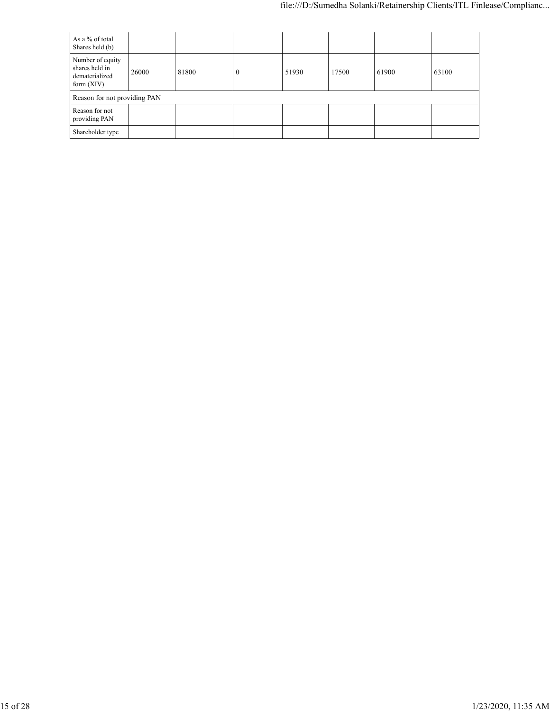| As a % of total<br>Shares held (b)                                   |       |       |          |       |       |       |       |
|----------------------------------------------------------------------|-------|-------|----------|-------|-------|-------|-------|
| Number of equity<br>shares held in<br>dematerialized<br>form $(XIV)$ | 26000 | 81800 | $\theta$ | 51930 | 17500 | 61900 | 63100 |
| Reason for not providing PAN                                         |       |       |          |       |       |       |       |
| Reason for not<br>providing PAN                                      |       |       |          |       |       |       |       |
| Shareholder type                                                     |       |       |          |       |       |       |       |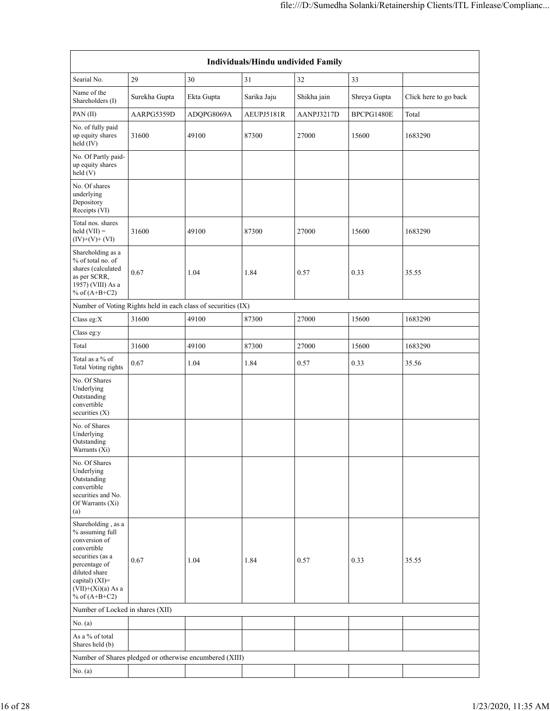|                                                                                                                                                                                          |               |                                                               | Individuals/Hindu undivided Family |             |              |                       |
|------------------------------------------------------------------------------------------------------------------------------------------------------------------------------------------|---------------|---------------------------------------------------------------|------------------------------------|-------------|--------------|-----------------------|
| Searial No.                                                                                                                                                                              | 29            | 30                                                            | 31                                 | 32          | 33           |                       |
| Name of the<br>Shareholders (I)                                                                                                                                                          | Surekha Gupta | Ekta Gupta                                                    | Sarika Jaju                        | Shikha jain | Shreya Gupta | Click here to go back |
| PAN(II)                                                                                                                                                                                  | AARPG5359D    | ADQPG8069A                                                    | AEUPJ5181R                         | AANPJ3217D  | BPCPG1480E   | Total                 |
| No. of fully paid<br>up equity shares<br>held (IV)                                                                                                                                       | 31600         | 49100                                                         | 87300                              | 27000       | 15600        | 1683290               |
| No. Of Partly paid-<br>up equity shares<br>held(V)                                                                                                                                       |               |                                                               |                                    |             |              |                       |
| No. Of shares<br>underlying<br>Depository<br>Receipts (VI)                                                                                                                               |               |                                                               |                                    |             |              |                       |
| Total nos. shares<br>held $(VII) =$<br>$(IV)+(V)+(VI)$                                                                                                                                   | 31600         | 49100                                                         | 87300                              | 27000       | 15600        | 1683290               |
| Shareholding as a<br>% of total no. of<br>shares (calculated<br>as per SCRR,<br>1957) (VIII) As a<br>% of $(A+B+C2)$                                                                     | 0.67          | 1.04                                                          | 1.84                               | 0.57        | 0.33         | 35.55                 |
|                                                                                                                                                                                          |               | Number of Voting Rights held in each class of securities (IX) |                                    |             |              |                       |
| Class eg:X                                                                                                                                                                               | 31600         | 49100                                                         | 87300                              | 27000       | 15600        | 1683290               |
| Class eg:y                                                                                                                                                                               |               |                                                               |                                    |             |              |                       |
| Total                                                                                                                                                                                    | 31600         | 49100                                                         | 87300                              | 27000       | 15600        | 1683290               |
| Total as a % of<br><b>Total Voting rights</b>                                                                                                                                            | 0.67          | 1.04                                                          | 1.84                               | 0.57        | 0.33         | 35.56                 |
| No. Of Shares<br>Underlying<br>Outstanding<br>convertible<br>securities $(X)$                                                                                                            |               |                                                               |                                    |             |              |                       |
| No. of Shares<br>Underlying<br>Outstanding<br>Warrants (Xi)                                                                                                                              |               |                                                               |                                    |             |              |                       |
| No. Of Shares<br>Underlying<br>Outstanding<br>convertible<br>securities and No.<br>Of Warrants (Xi)<br>(a)                                                                               |               |                                                               |                                    |             |              |                       |
| Shareholding, as a<br>% assuming full<br>conversion of<br>convertible<br>securities (as a<br>percentage of<br>diluted share<br>capital) (XI)=<br>$(VII)+(Xi)(a)$ As a<br>% of $(A+B+C2)$ | 0.67          | 1.04                                                          | 1.84                               | 0.57        | 0.33         | 35.55                 |
| Number of Locked in shares (XII)                                                                                                                                                         |               |                                                               |                                    |             |              |                       |
| No. (a)                                                                                                                                                                                  |               |                                                               |                                    |             |              |                       |
| As a % of total<br>Shares held (b)                                                                                                                                                       |               |                                                               |                                    |             |              |                       |
|                                                                                                                                                                                          |               | Number of Shares pledged or otherwise encumbered (XIII)       |                                    |             |              |                       |
| No. (a)                                                                                                                                                                                  |               |                                                               |                                    |             |              |                       |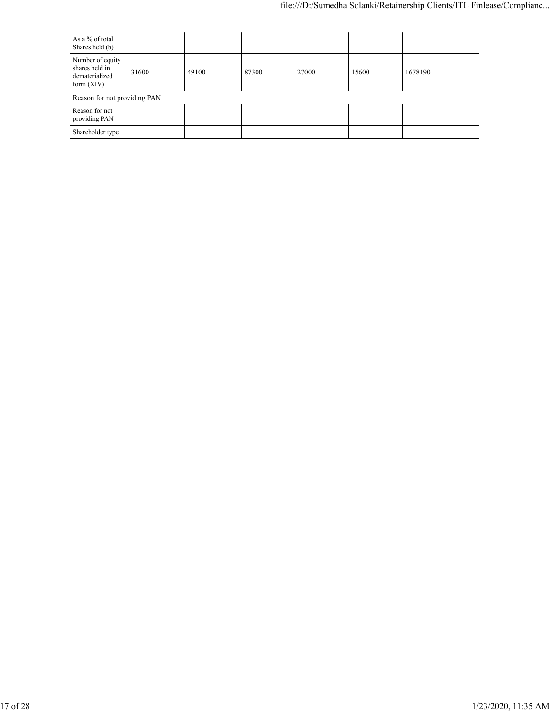| As a % of total<br>Shares held (b)                                   |       |       |       |       |       |         |
|----------------------------------------------------------------------|-------|-------|-------|-------|-------|---------|
| Number of equity<br>shares held in<br>dematerialized<br>form $(XIV)$ | 31600 | 49100 | 87300 | 27000 | 15600 | 1678190 |
| Reason for not providing PAN                                         |       |       |       |       |       |         |
| Reason for not<br>providing PAN                                      |       |       |       |       |       |         |
| Shareholder type                                                     |       |       |       |       |       |         |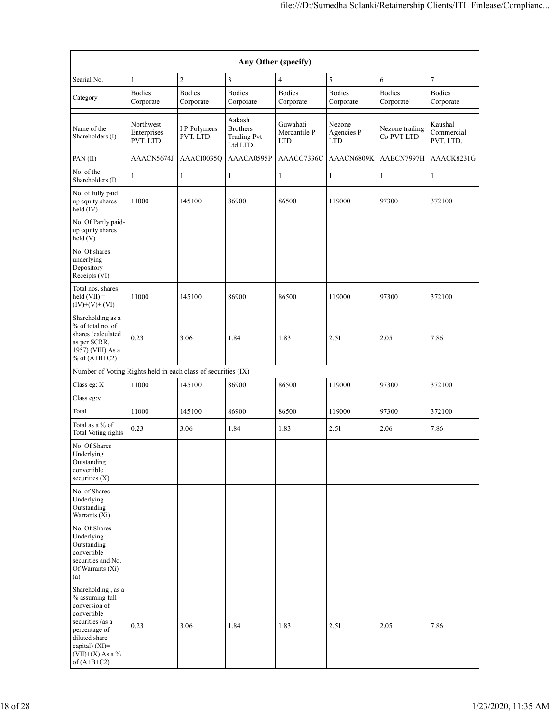|                                                                                                                                                                                      |                                      |                            | Any Other (specify)                                         |                                        |                                    |                              |                                    |
|--------------------------------------------------------------------------------------------------------------------------------------------------------------------------------------|--------------------------------------|----------------------------|-------------------------------------------------------------|----------------------------------------|------------------------------------|------------------------------|------------------------------------|
| Searial No.                                                                                                                                                                          | $\mathbf{1}$                         | $\overline{c}$             | 3                                                           | 4                                      | 5                                  | 6                            | 7                                  |
| Category                                                                                                                                                                             | <b>Bodies</b><br>Corporate           | <b>Bodies</b><br>Corporate | <b>Bodies</b><br>Corporate                                  | <b>Bodies</b><br>Corporate             | <b>Bodies</b><br>Corporate         | <b>Bodies</b><br>Corporate   | <b>Bodies</b><br>Corporate         |
| Name of the<br>Shareholders (I)                                                                                                                                                      | Northwest<br>Enterprises<br>PVT. LTD | I P Polymers<br>PVT. LTD   | Aakash<br><b>Brothers</b><br><b>Trading Pvt</b><br>Ltd LTD. | Guwahati<br>Mercantile P<br><b>LTD</b> | Nezone<br>Agencies P<br><b>LTD</b> | Nezone trading<br>Co PVT LTD | Kaushal<br>Commercial<br>PVT. LTD. |
| PAN(II)                                                                                                                                                                              | AAACN5674J                           | AAACI0035Q                 | AAACA0595P                                                  | AAACG7336C                             | AAACN6809K                         | AABCN7997H                   | AAACK8231G                         |
| No. of the<br>Shareholders (I)                                                                                                                                                       | 1                                    | $\mathbf{1}$               | 1                                                           | 1                                      | $\mathbf{1}$                       | 1                            | $\mathbf{1}$                       |
| No. of fully paid<br>up equity shares<br>held (IV)                                                                                                                                   | 11000                                | 145100                     | 86900                                                       | 86500                                  | 119000                             | 97300                        | 372100                             |
| No. Of Partly paid-<br>up equity shares<br>held (V)                                                                                                                                  |                                      |                            |                                                             |                                        |                                    |                              |                                    |
| No. Of shares<br>underlying<br>Depository<br>Receipts (VI)                                                                                                                           |                                      |                            |                                                             |                                        |                                    |                              |                                    |
| Total nos. shares<br>$held (VII) =$<br>$(IV)+(V)+(VI)$                                                                                                                               | 11000                                | 145100                     | 86900                                                       | 86500                                  | 119000                             | 97300                        | 372100                             |
| Shareholding as a<br>% of total no. of<br>shares (calculated<br>as per SCRR,<br>1957) (VIII) As a<br>% of $(A+B+C2)$                                                                 | 0.23                                 | 3.06                       | 1.84                                                        | 1.83                                   | 2.51                               | 2.05                         | 7.86                               |
| Number of Voting Rights held in each class of securities (IX)                                                                                                                        |                                      |                            |                                                             |                                        |                                    |                              |                                    |
| Class eg: X                                                                                                                                                                          | 11000                                | 145100                     | 86900                                                       | 86500                                  | 119000                             | 97300                        | 372100                             |
| Class eg:y                                                                                                                                                                           |                                      |                            |                                                             |                                        |                                    |                              |                                    |
| Total                                                                                                                                                                                | 11000                                | 145100                     | 86900                                                       | 86500                                  | 119000                             | 97300                        | 372100                             |
| Total as a % of<br>Total Voting rights                                                                                                                                               | 0.23                                 | 3.06                       | 1.84                                                        | 1.83                                   | 2.51                               | 2.06                         | 7.86                               |
| No. Of Shares<br>Underlying<br>Outstanding<br>convertible<br>securities $(X)$                                                                                                        |                                      |                            |                                                             |                                        |                                    |                              |                                    |
| No. of Shares<br>Underlying<br>Outstanding<br>Warrants (Xi)                                                                                                                          |                                      |                            |                                                             |                                        |                                    |                              |                                    |
| No. Of Shares<br>Underlying<br>Outstanding<br>convertible<br>securities and No.<br>Of Warrants (Xi)<br>(a)                                                                           |                                      |                            |                                                             |                                        |                                    |                              |                                    |
| Shareholding, as a<br>% assuming full<br>conversion of<br>convertible<br>securities (as a<br>percentage of<br>diluted share<br>capital) (XI)=<br>$(VII)+(X)$ As a %<br>of $(A+B+C2)$ | 0.23                                 | 3.06                       | 1.84                                                        | 1.83                                   | 2.51                               | 2.05                         | 7.86                               |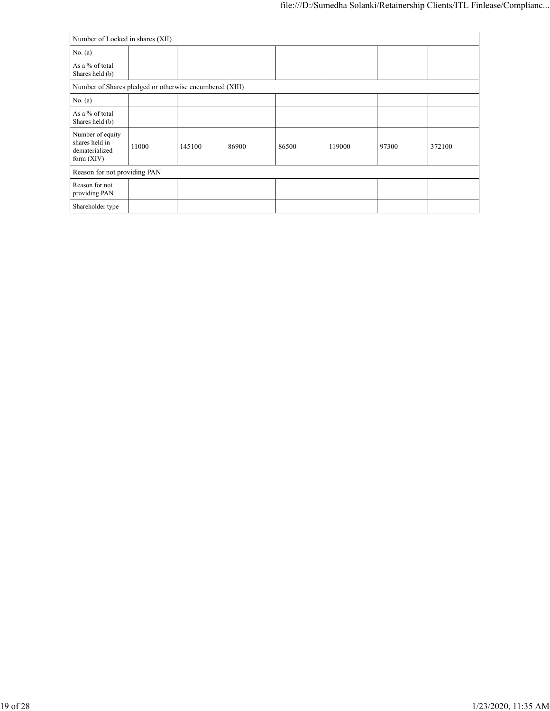| Number of Locked in shares (XII)                                     |       |        |       |       |        |       |        |
|----------------------------------------------------------------------|-------|--------|-------|-------|--------|-------|--------|
| No. $(a)$                                                            |       |        |       |       |        |       |        |
| As a % of total<br>Shares held (b)                                   |       |        |       |       |        |       |        |
| Number of Shares pledged or otherwise encumbered (XIII)              |       |        |       |       |        |       |        |
| No. $(a)$                                                            |       |        |       |       |        |       |        |
| As a % of total<br>Shares held (b)                                   |       |        |       |       |        |       |        |
| Number of equity<br>shares held in<br>dematerialized<br>form $(XIV)$ | 11000 | 145100 | 86900 | 86500 | 119000 | 97300 | 372100 |
| Reason for not providing PAN                                         |       |        |       |       |        |       |        |
| Reason for not<br>providing PAN                                      |       |        |       |       |        |       |        |
| Shareholder type                                                     |       |        |       |       |        |       |        |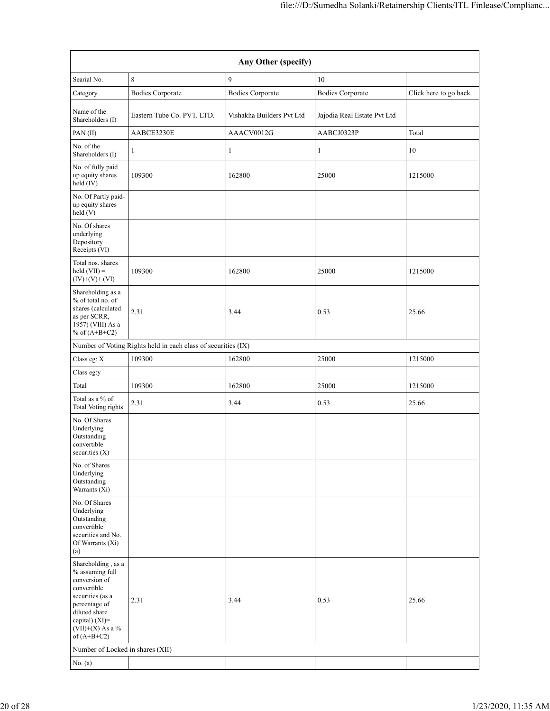|                                                                                                                                                                                      |                                                               | Any Other (specify)       |                             |                       |
|--------------------------------------------------------------------------------------------------------------------------------------------------------------------------------------|---------------------------------------------------------------|---------------------------|-----------------------------|-----------------------|
| Searial No.                                                                                                                                                                          | 8                                                             | 9                         | 10                          |                       |
| Category                                                                                                                                                                             | <b>Bodies Corporate</b>                                       | <b>Bodies Corporate</b>   | <b>Bodies Corporate</b>     | Click here to go back |
| Name of the<br>Shareholders (I)                                                                                                                                                      | Eastern Tube Co. PVT. LTD.                                    | Vishakha Builders Pvt Ltd | Jajodia Real Estate Pvt Ltd |                       |
| PAN(II)                                                                                                                                                                              | AABCE3230E                                                    | AAACV0012G                | AABCJ0323P                  | Total                 |
| No. of the<br>Shareholders (I)                                                                                                                                                       | $\mathbf{1}$                                                  | 1                         | 1                           | 10                    |
| No. of fully paid<br>up equity shares<br>held (IV)                                                                                                                                   | 109300                                                        | 162800                    | 25000                       | 1215000               |
| No. Of Partly paid-<br>up equity shares<br>held (V)                                                                                                                                  |                                                               |                           |                             |                       |
| No. Of shares<br>underlying<br>Depository<br>Receipts (VI)                                                                                                                           |                                                               |                           |                             |                       |
| Total nos. shares<br>held $(VII) =$<br>$(IV)+(V)+(VI)$                                                                                                                               | 109300                                                        | 162800                    | 25000                       | 1215000               |
| Shareholding as a<br>% of total no. of<br>shares (calculated<br>as per SCRR,<br>1957) (VIII) As a<br>% of $(A+B+C2)$                                                                 | 2.31                                                          | 3.44                      | 0.53                        | 25.66                 |
|                                                                                                                                                                                      | Number of Voting Rights held in each class of securities (IX) |                           |                             |                       |
| Class eg: X                                                                                                                                                                          | 109300                                                        | 162800                    | 25000                       | 1215000               |
| Class eg:y                                                                                                                                                                           |                                                               |                           |                             |                       |
| Total                                                                                                                                                                                | 109300                                                        | 162800                    | 25000                       | 1215000               |
| Total as a % of<br><b>Total Voting rights</b>                                                                                                                                        | 2.31                                                          | 3.44                      | 0.53                        | 25.66                 |
| No. Of Shares<br>Underlying<br>Outstanding<br>convertible<br>securities (X)                                                                                                          |                                                               |                           |                             |                       |
| No. of Shares<br>Underlying<br>Outstanding<br>Warrants (Xi)                                                                                                                          |                                                               |                           |                             |                       |
| No. Of Shares<br>Underlying<br>Outstanding<br>convertible<br>securities and No.<br>Of Warrants (Xi)<br>(a)                                                                           |                                                               |                           |                             |                       |
| Shareholding, as a<br>% assuming full<br>conversion of<br>convertible<br>securities (as a<br>percentage of<br>diluted share<br>capital) (XI)=<br>$(VII)+(X)$ As a %<br>of $(A+B+C2)$ | 2.31                                                          | 3.44                      | 0.53                        | 25.66                 |
| Number of Locked in shares (XII)                                                                                                                                                     |                                                               |                           |                             |                       |
| No. (a)                                                                                                                                                                              |                                                               |                           |                             |                       |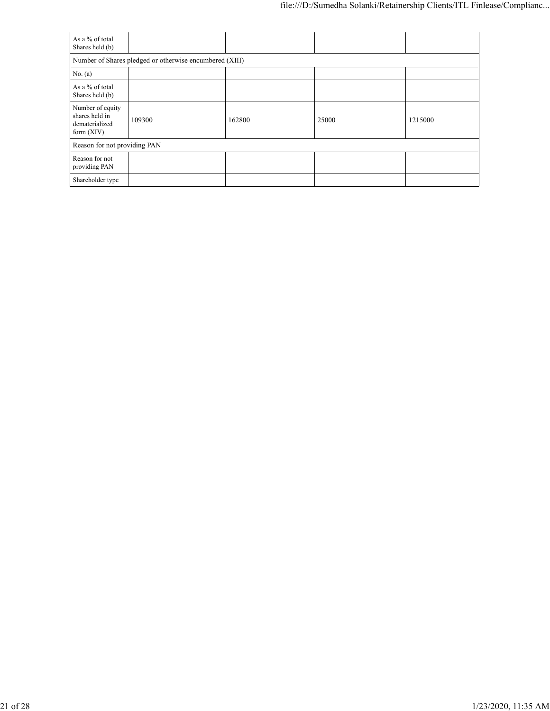| As a % of total<br>Shares held (b)                                   |                                                         |        |       |         |  |  |
|----------------------------------------------------------------------|---------------------------------------------------------|--------|-------|---------|--|--|
|                                                                      | Number of Shares pledged or otherwise encumbered (XIII) |        |       |         |  |  |
| No. $(a)$                                                            |                                                         |        |       |         |  |  |
| As a % of total<br>Shares held (b)                                   |                                                         |        |       |         |  |  |
| Number of equity<br>shares held in<br>dematerialized<br>form $(XIV)$ | 109300                                                  | 162800 | 25000 | 1215000 |  |  |
|                                                                      | Reason for not providing PAN                            |        |       |         |  |  |
| Reason for not<br>providing PAN                                      |                                                         |        |       |         |  |  |
| Shareholder type                                                     |                                                         |        |       |         |  |  |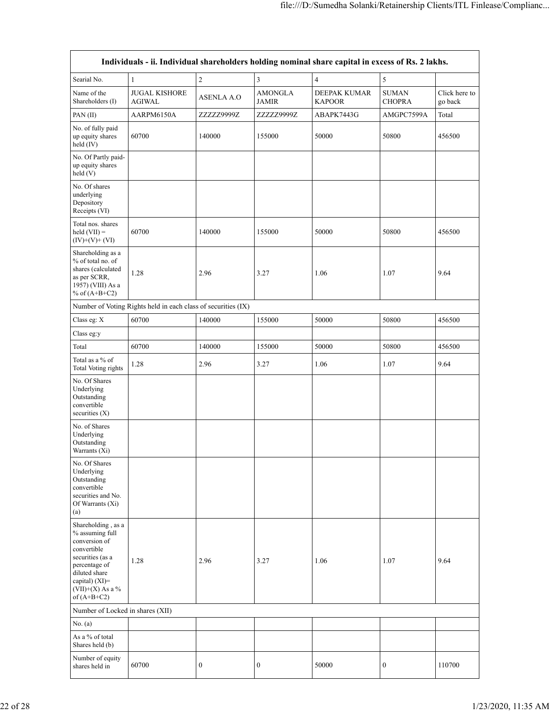|                                                                                                                                                                                      |                                                               |                   |                                | Individuals - ii. Individual shareholders holding nominal share capital in excess of Rs. 2 lakhs. |                               |                          |
|--------------------------------------------------------------------------------------------------------------------------------------------------------------------------------------|---------------------------------------------------------------|-------------------|--------------------------------|---------------------------------------------------------------------------------------------------|-------------------------------|--------------------------|
| Searial No.                                                                                                                                                                          | $\mathbf{1}$                                                  | $\overline{c}$    | 3                              | $\overline{4}$                                                                                    | 5                             |                          |
| Name of the<br>Shareholders (I)                                                                                                                                                      | <b>JUGAL KISHORE</b><br><b>AGIWAL</b>                         | <b>ASENLA A.O</b> | <b>AMONGLA</b><br><b>JAMIR</b> | DEEPAK KUMAR<br><b>KAPOOR</b>                                                                     | <b>SUMAN</b><br><b>CHOPRA</b> | Click here to<br>go back |
| PAN(II)                                                                                                                                                                              | AARPM6150A                                                    | ZZZZZ9999Z        | ZZZZZ9999Z                     | ABAPK7443G                                                                                        | AMGPC7599A                    | Total                    |
| No. of fully paid<br>up equity shares<br>held $(IV)$                                                                                                                                 | 60700                                                         | 140000            | 155000                         | 50000                                                                                             | 50800                         | 456500                   |
| No. Of Partly paid-<br>up equity shares<br>held $(V)$                                                                                                                                |                                                               |                   |                                |                                                                                                   |                               |                          |
| No. Of shares<br>underlying<br>Depository<br>Receipts (VI)                                                                                                                           |                                                               |                   |                                |                                                                                                   |                               |                          |
| Total nos. shares<br>held $(VII) =$<br>$(IV)+(V)+(VI)$                                                                                                                               | 60700                                                         | 140000            | 155000                         | 50000                                                                                             | 50800                         | 456500                   |
| Shareholding as a<br>% of total no. of<br>shares (calculated<br>as per SCRR,<br>1957) (VIII) As a<br>% of $(A+B+C2)$                                                                 | 1.28                                                          | 2.96              | 3.27                           | 1.06                                                                                              | 1.07                          | 9.64                     |
|                                                                                                                                                                                      | Number of Voting Rights held in each class of securities (IX) |                   |                                |                                                                                                   |                               |                          |
| Class eg: X                                                                                                                                                                          | 60700                                                         | 140000            | 155000                         | 50000                                                                                             | 50800                         | 456500                   |
| Class eg:y                                                                                                                                                                           |                                                               |                   |                                |                                                                                                   |                               |                          |
| Total                                                                                                                                                                                | 60700                                                         | 140000            | 155000                         | 50000                                                                                             | 50800                         | 456500                   |
| Total as a % of<br><b>Total Voting rights</b>                                                                                                                                        | 1.28                                                          | 2.96              | 3.27                           | 1.06                                                                                              | 1.07                          | 9.64                     |
| No. Of Shares<br>Underlying<br>Outstanding<br>convertible<br>securities $(X)$                                                                                                        |                                                               |                   |                                |                                                                                                   |                               |                          |
| No. of Shares<br>Underlying<br>Outstanding<br>Warrants (Xi)                                                                                                                          |                                                               |                   |                                |                                                                                                   |                               |                          |
| No. Of Shares<br>Underlying<br>Outstanding<br>convertible<br>securities and No.<br>Of Warrants (Xi)<br>(a)                                                                           |                                                               |                   |                                |                                                                                                   |                               |                          |
| Shareholding, as a<br>% assuming full<br>conversion of<br>convertible<br>securities (as a<br>percentage of<br>diluted share<br>capital) (XI)=<br>$(VII)+(X)$ As a %<br>of $(A+B+C2)$ | 1.28                                                          | 2.96              | 3.27                           | 1.06                                                                                              | 1.07                          | 9.64                     |
| Number of Locked in shares (XII)                                                                                                                                                     |                                                               |                   |                                |                                                                                                   |                               |                          |
| No. (a)                                                                                                                                                                              |                                                               |                   |                                |                                                                                                   |                               |                          |
| As a % of total<br>Shares held (b)                                                                                                                                                   |                                                               |                   |                                |                                                                                                   |                               |                          |
| Number of equity<br>shares held in                                                                                                                                                   | 60700                                                         | $\boldsymbol{0}$  | 0                              | 50000                                                                                             | 0                             | 110700                   |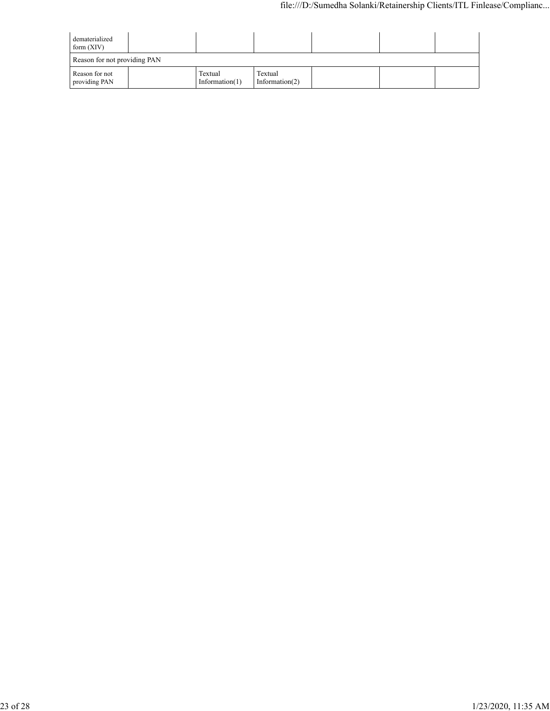| dematerialized<br>form $(XIV)$  |                              |                              |  |  |
|---------------------------------|------------------------------|------------------------------|--|--|
| Reason for not providing PAN    |                              |                              |  |  |
| Reason for not<br>providing PAN | Textual<br>Information $(1)$ | Textual<br>Information $(2)$ |  |  |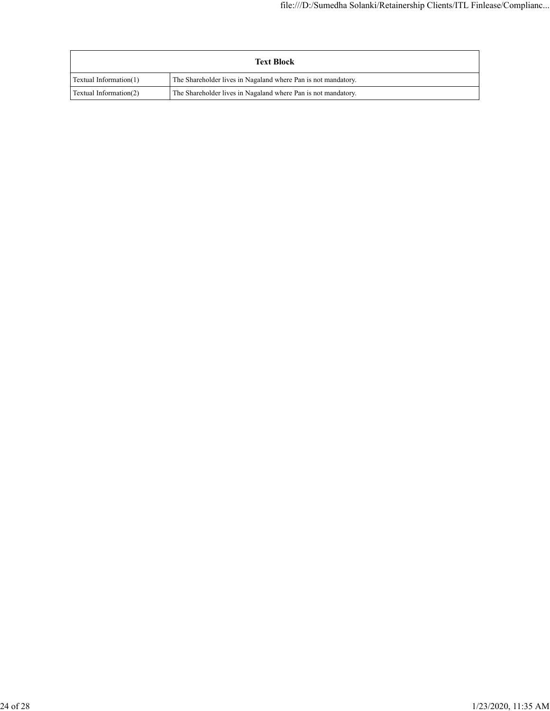| <b>Text Block</b>      |                                                               |  |  |  |
|------------------------|---------------------------------------------------------------|--|--|--|
| Textual Information(1) | The Shareholder lives in Nagaland where Pan is not mandatory. |  |  |  |
| Textual Information(2) | The Shareholder lives in Nagaland where Pan is not mandatory. |  |  |  |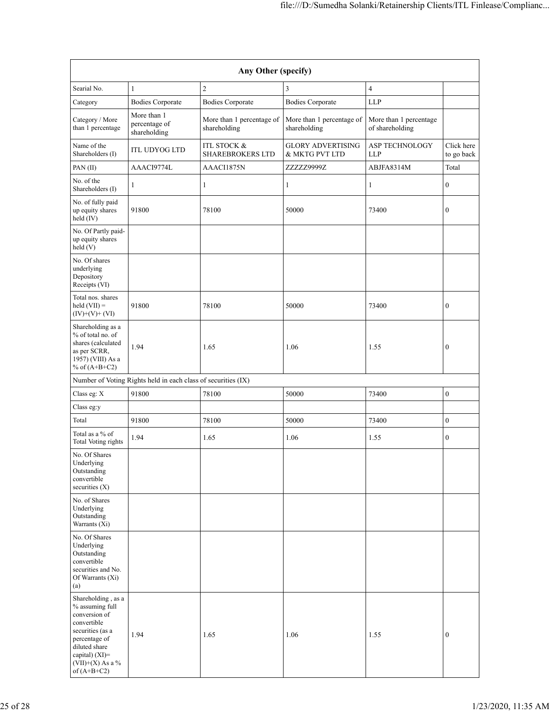| Any Other (specify)                                                                                                                                                                  |                                                               |                                                   |                                            |                                           |                          |  |  |  |
|--------------------------------------------------------------------------------------------------------------------------------------------------------------------------------------|---------------------------------------------------------------|---------------------------------------------------|--------------------------------------------|-------------------------------------------|--------------------------|--|--|--|
| Searial No.                                                                                                                                                                          | $\mathbf{1}$                                                  | $\mathfrak{2}$                                    | 3                                          | $\overline{4}$                            |                          |  |  |  |
| Category                                                                                                                                                                             | <b>Bodies Corporate</b>                                       | <b>Bodies Corporate</b>                           | <b>Bodies Corporate</b>                    | <b>LLP</b>                                |                          |  |  |  |
| Category / More<br>than 1 percentage                                                                                                                                                 | More than 1<br>percentage of<br>shareholding                  | More than 1 percentage of<br>shareholding         | More than 1 percentage of<br>shareholding  | More than 1 percentage<br>of shareholding |                          |  |  |  |
| Name of the<br>Shareholders (I)                                                                                                                                                      | <b>ITL UDYOG LTD</b>                                          | <b>ITL STOCK &amp;</b><br><b>SHAREBROKERS LTD</b> | <b>GLORY ADVERTISING</b><br>& MKTG PVT LTD | ASP TECHNOLOGY<br><b>LLP</b>              | Click here<br>to go back |  |  |  |
| PAN(II)                                                                                                                                                                              | AAACI9774L                                                    | AAACI1875N                                        | ZZZZZ9999Z                                 | ABJFA8314M                                | Total                    |  |  |  |
| No. of the<br>Shareholders (I)                                                                                                                                                       | 1                                                             | 1                                                 | 1                                          | $\mathbf{1}$                              | $\boldsymbol{0}$         |  |  |  |
| No. of fully paid<br>up equity shares<br>held (IV)                                                                                                                                   | 91800                                                         | 78100                                             | 50000                                      | 73400                                     | $\boldsymbol{0}$         |  |  |  |
| No. Of Partly paid-<br>up equity shares<br>held (V)                                                                                                                                  |                                                               |                                                   |                                            |                                           |                          |  |  |  |
| No. Of shares<br>underlying<br>Depository<br>Receipts (VI)                                                                                                                           |                                                               |                                                   |                                            |                                           |                          |  |  |  |
| Total nos. shares<br>held $(VII) =$<br>$(IV)+(V)+(VI)$                                                                                                                               | 91800                                                         | 78100                                             | 50000                                      | 73400                                     | $\boldsymbol{0}$         |  |  |  |
| Shareholding as a<br>% of total no. of<br>shares (calculated<br>as per SCRR,<br>1957) (VIII) As a<br>% of $(A+B+C2)$                                                                 | 1.94                                                          | 1.65                                              | 1.06                                       | 1.55                                      | $\boldsymbol{0}$         |  |  |  |
|                                                                                                                                                                                      | Number of Voting Rights held in each class of securities (IX) |                                                   |                                            |                                           |                          |  |  |  |
| Class eg: X                                                                                                                                                                          | 91800                                                         | 78100                                             | 50000                                      | 73400                                     | $\boldsymbol{0}$         |  |  |  |
| Class eg:y                                                                                                                                                                           |                                                               |                                                   |                                            |                                           |                          |  |  |  |
| Total                                                                                                                                                                                | 91800                                                         | 78100                                             | 50000                                      | 73400                                     | $\boldsymbol{0}$         |  |  |  |
| Total as a % of<br>Total Voting rights                                                                                                                                               | 1.94                                                          | 1.65                                              | 1.06                                       | 1.55                                      | $\boldsymbol{0}$         |  |  |  |
| No. Of Shares<br>Underlying<br>Outstanding<br>convertible<br>securities $(X)$                                                                                                        |                                                               |                                                   |                                            |                                           |                          |  |  |  |
| No. of Shares<br>Underlying<br>Outstanding<br>Warrants (Xi)                                                                                                                          |                                                               |                                                   |                                            |                                           |                          |  |  |  |
| No. Of Shares<br>Underlying<br>Outstanding<br>convertible<br>securities and No.<br>Of Warrants (Xi)<br>(a)                                                                           |                                                               |                                                   |                                            |                                           |                          |  |  |  |
| Shareholding, as a<br>% assuming full<br>conversion of<br>convertible<br>securities (as a<br>percentage of<br>diluted share<br>capital) (XI)=<br>$(VII)+(X)$ As a %<br>of $(A+B+C2)$ | 1.94                                                          | 1.65                                              | 1.06                                       | 1.55                                      | $\boldsymbol{0}$         |  |  |  |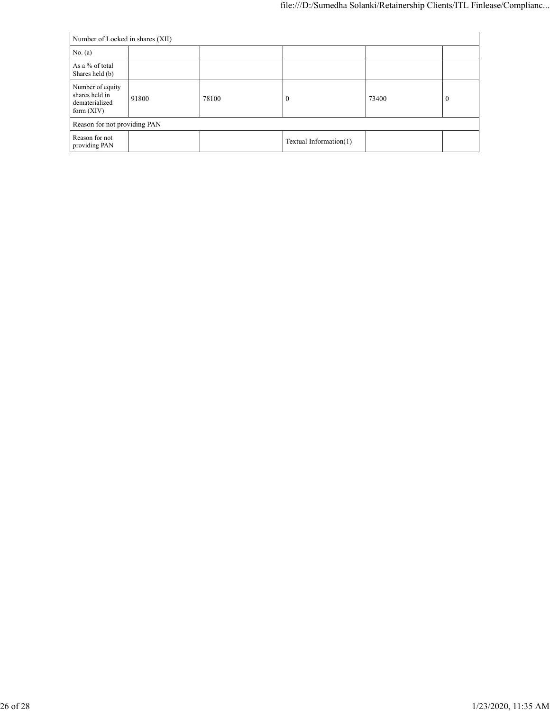| Number of Locked in shares (XII)                                     |       |       |                        |       |          |  |
|----------------------------------------------------------------------|-------|-------|------------------------|-------|----------|--|
| No. (a)                                                              |       |       |                        |       |          |  |
| As a % of total<br>Shares held (b)                                   |       |       |                        |       |          |  |
| Number of equity<br>shares held in<br>dematerialized<br>form $(XIV)$ | 91800 | 78100 | $\bf{0}$               | 73400 | $\theta$ |  |
| Reason for not providing PAN                                         |       |       |                        |       |          |  |
| Reason for not<br>providing PAN                                      |       |       | Textual Information(1) |       |          |  |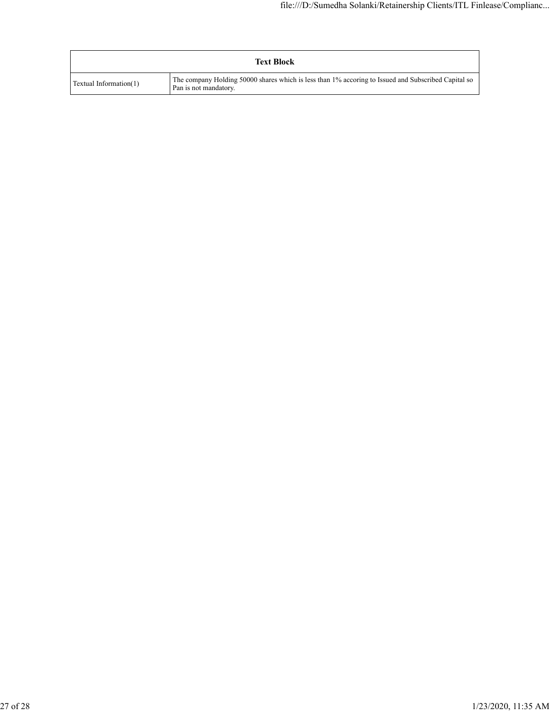| <b>Text Block</b>      |                                                                                                                              |  |  |  |
|------------------------|------------------------------------------------------------------------------------------------------------------------------|--|--|--|
| Textual Information(1) | The company Holding 50000 shares which is less than 1% accoring to Issued and Subscribed Capital so<br>Pan is not mandatory. |  |  |  |